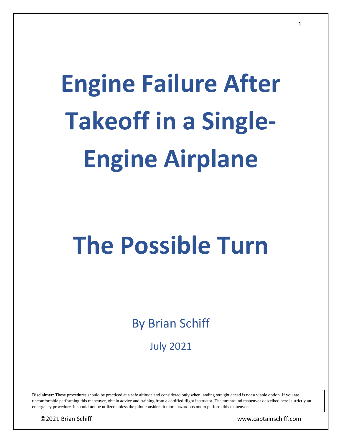# **Engine Failure After Takeoff in a Single-Engine Airplane**

# **The Possible Turn**

By Brian Schiff

July 2021

**Disclaimer**: These procedures should be practiced at a safe altitude and considered only when landing straight ahead is not a viable option. If you are uncomfortable performing this maneuver, obtain advice and training from a certified flight instructor. The turnaround maneuver described here is strictly an emergency procedure. It should not be utilized unless the pilot considers it more hazardous not to perform this maneuver.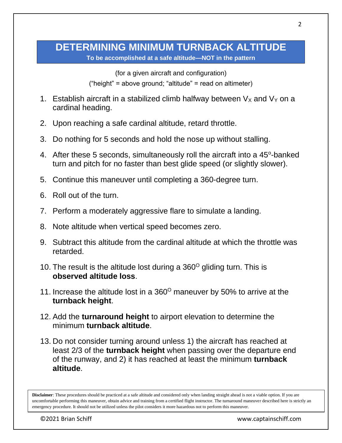#### **DETERMINING MINIMUM TURNBACK ALTITUDE To be accomplished at a safe altitude—NOT in the pattern**

(for a given aircraft and configuration) ("height" = above ground; "altitude" = read on altimeter)

- 1. Establish aircraft in a stabilized climb halfway between  $V_X$  and  $V_Y$  on a cardinal heading.
- 2. Upon reaching a safe cardinal altitude, retard throttle.
- 3. Do nothing for 5 seconds and hold the nose up without stalling.
- 4. After these 5 seconds, simultaneously roll the aircraft into a 45°-banked turn and pitch for no faster than best glide speed (or slightly slower).
- 5. Continue this maneuver until completing a 360-degree turn.
- 6. Roll out of the turn.
- 7. Perform a moderately aggressive flare to simulate a landing.
- 8. Note altitude when vertical speed becomes zero.
- 9. Subtract this altitude from the cardinal altitude at which the throttle was retarded.
- 10. The result is the altitude lost during a  $360^{\circ}$  gliding turn. This is **observed altitude loss**.
- 11. Increase the altitude lost in a  $360^{\circ}$  maneuver by 50% to arrive at the **turnback height**.
- 12. Add the **turnaround height** to airport elevation to determine the minimum **turnback altitude**.
- 13. Do not consider turning around unless 1) the aircraft has reached at least 2/3 of the **turnback height** when passing over the departure end of the runway, and 2) it has reached at least the minimum **turnback altitude**.

**Disclaimer**: These procedures should be practiced at a safe altitude and considered only when landing straight ahead is not a viable option. If you are uncomfortable performing this maneuver, obtain advice and training from a certified flight instructor. The turnaround maneuver described here is strictly an emergency procedure. It should not be utilized unless the pilot considers it more hazardous not to perform this maneuver.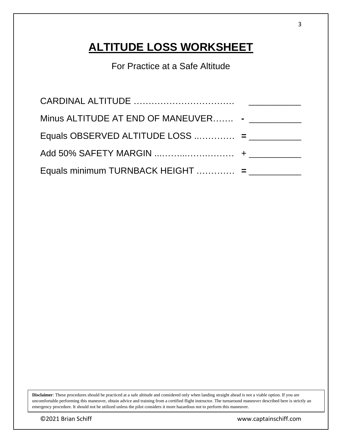## **ALTITUDE LOSS WORKSHEET**

For Practice at a Safe Altitude

| Minus ALTITUDE AT END OF MANEUVER - ___________ |  |
|-------------------------------------------------|--|
|                                                 |  |
|                                                 |  |
| Equals minimum TURNBACK HEIGHT  = $\frac{1}{2}$ |  |

**Disclaimer**: These procedures should be practiced at a safe altitude and considered only when landing straight ahead is not a viable option. If you are uncomfortable performing this maneuver, obtain advice and training from a certified flight instructor. The turnaround maneuver described here is strictly an emergency procedure. It should not be utilized unless the pilot considers it more hazardous not to perform this maneuver.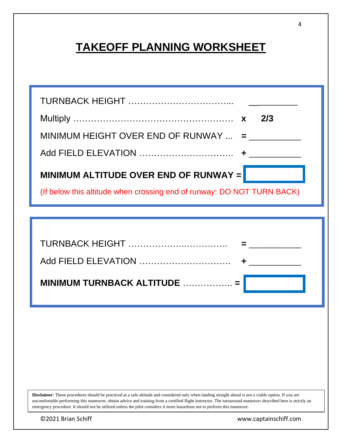## **TAKEOFF PLANNING WORKSHEET**

|                                                                        | 2/3 |
|------------------------------------------------------------------------|-----|
| MINIMUM HEIGHT OVER END OF RUNWAY $\ldots$ =                           |     |
|                                                                        |     |
| MINIMUM ALTITUDE OVER END OF RUNWAY =                                  |     |
| (If below this altitude when crossing end of runway: DO NOT TURN BACK) |     |

| Add FIELD ELEVATION                                  |
|------------------------------------------------------|
| MINIMUM TURNBACK ALTITUDE $\ldots$ $\ldots$ $\ldots$ |

**Disclaimer**: These procedures should be practiced at a safe altitude and considered only when landing straight ahead is not a viable option. If you are uncomfortable performing this maneuver, obtain advice and training from a certified flight instructor. The turnaround maneuver described here is strictly an emergency procedure. It should not be utilized unless the pilot considers it more hazardous not to perform this maneuver.